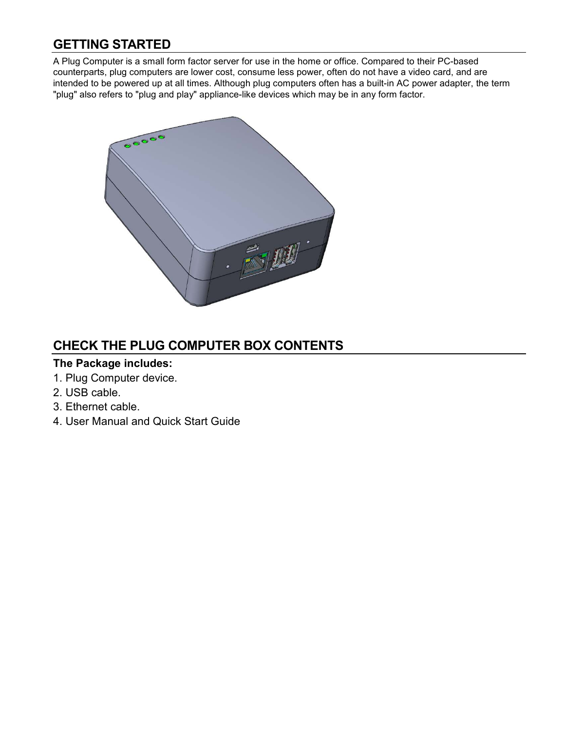## **GETTING STARTED**

A Plug Computer is a small form factor server for use in the home or office. Compared to their PC-based counterparts, plug computers are lower cost, consume less power, often do not have a video card, and are intended to be powered up at all times. Although plug computers often has a built-in AC power adapter, the term "plug" also refers to "plug and play" appliance-like devices which may be in any form factor.



## **CHECK THE PLUG COMPUTER BOX CONTENTS**

#### **The Package includes:**

- 1. Plug Computer device.
- 2. USB cable.
- 3. Ethernet cable.
- 4. User Manual and Quick Start Guide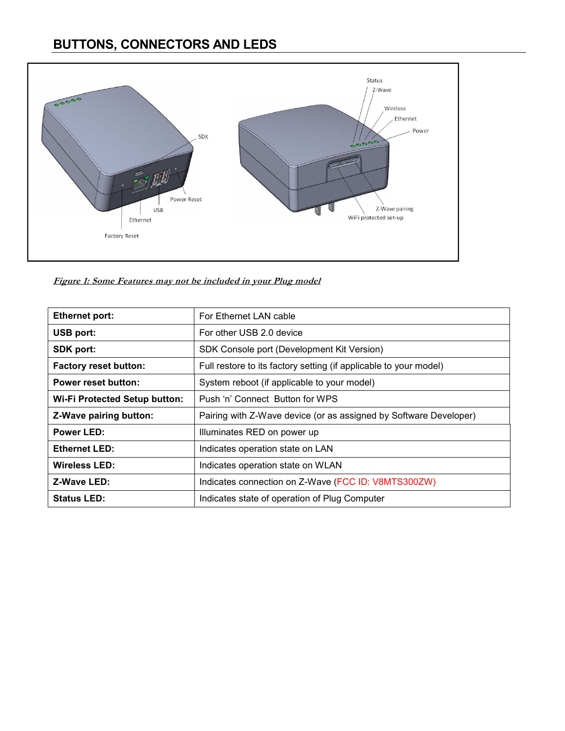# **BUTTONS, CONNECTORS AND LEDS**



**Figure 1: Some Features may not be included in your Plug model**

| <b>Ethernet port:</b>                | For Ethernet LAN cable                                            |
|--------------------------------------|-------------------------------------------------------------------|
| USB port:                            | For other USB 2.0 device                                          |
| <b>SDK port:</b>                     | SDK Console port (Development Kit Version)                        |
| <b>Factory reset button:</b>         | Full restore to its factory setting (if applicable to your model) |
| <b>Power reset button:</b>           | System reboot (if applicable to your model)                       |
| <b>Wi-Fi Protected Setup button:</b> | Push 'n' Connect Button for WPS                                   |
| <b>Z-Wave pairing button:</b>        | Pairing with Z-Wave device (or as assigned by Software Developer) |
| Power LED:                           | Illuminates RED on power up                                       |
| <b>Ethernet LED:</b>                 | Indicates operation state on LAN                                  |
| Wireless LED:                        | Indicates operation state on WLAN                                 |
| Z-Wave LED:                          | Indicates connection on Z-Wave (FCC ID: V8MTS300ZW)               |
| <b>Status LED:</b>                   | Indicates state of operation of Plug Computer                     |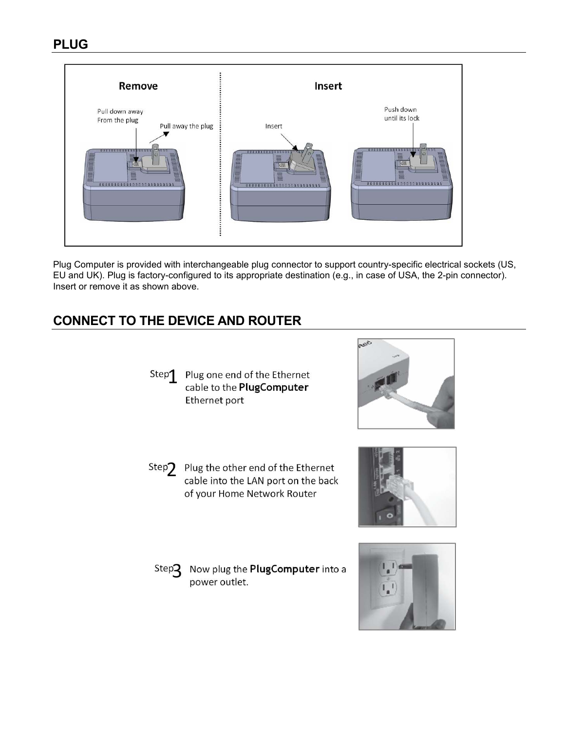

Plug Computer is provided with interchangeable plug connector to support country-specific electrical sockets (US, EU and UK). Plug is factory-configured to its appropriate destination (e.g., in case of USA, the 2-pin connector). Insert or remove it as shown above.

# **CONNECT TO THE DEVICE AND ROUTER**



- Plug one end of the Ethernet cable to the PlugComputer Ethernet port
- Step? Plug the other end of the Ethernet cable into the LAN port on the back of your Home Network Router
	- Now plug the PlugComputer into a  $Step 2$ power outlet.





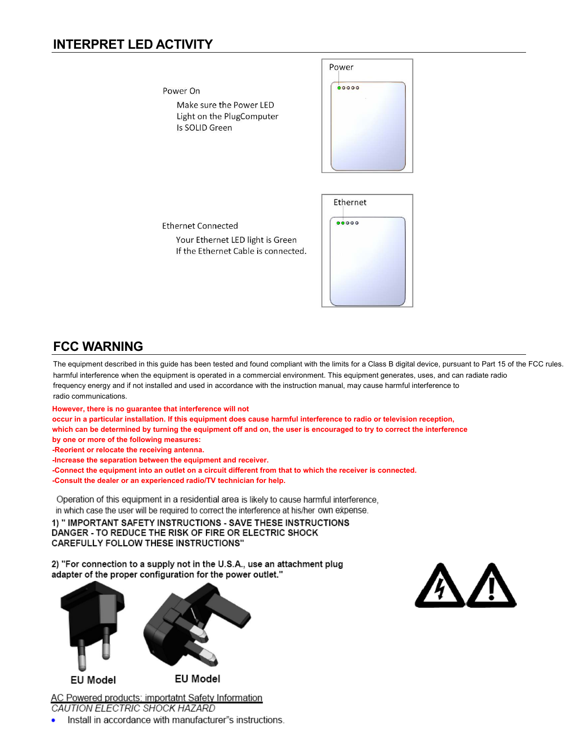## **INTERPRET LED ACTIVITY**

Power  $00000$ Power On Make sure the Power LED Light on the PlugComputer Is SOLID Green Ethernet  $00000$ **Ethernet Connected** Your Ethernet LED light is Green If the Ethernet Cable is connected.

## **FCC WARNING**

The equipment described in this guide has been tested and found compliant with the limits for a Class B digital device, pursuant to Part 15 of the FCC rules. harmful interference when the equipment is operated in a commercial environment. This equipment generates, uses, and can radiate radio frequency energy and if not installed and used in accordance with the instruction manual, may cause harmful interference to radio communications.

**However, there is no guarantee that interference will not** 

**occur in a particular installation. If this equipment does cause harmful interference to radio or television reception,** 

**which can be determined by turning the equipment off and on, the user is encouraged to try to correct the interference by one or more of the following measures:** 

**-Reorient or relocate the receiving antenna.** 

**-Increase the separation between the equipment and receiver.** 

**-Connect the equipment into an outlet on a circuit different from that to which the receiver is connected.** 

**-Consult the dealer or an experienced radio/TV technician for help.** 

Operation of this equipment in a residential area is likely to cause harmful interference, in which case the user will be required to correct the interference at his/her own expense.

1) "IMPORTANT SAFETY INSTRUCTIONS - SAVE THESE INSTRUCTIONS DANGER - TO REDUCE THE RISK OF FIRE OR ELECTRIC SHOCK **CAREFULLY FOLLOW THESE INSTRUCTIONS"** 

2) "For connection to a supply not in the U.S.A., use an attachment plug adapter of the proper configuration for the power outlet."



AC Powered products: importatnt Safety Information CAUTION ELECTRIC SHOCK HAZARD

Install in accordance with manufacturer"s instructions.